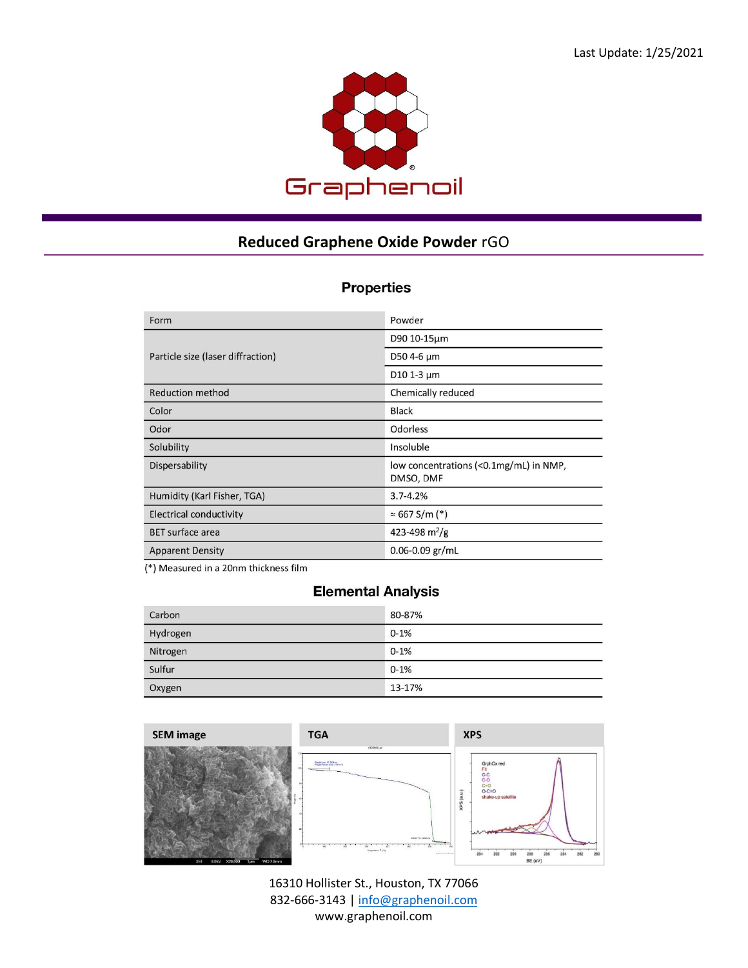

## **Reduced Graphene Oxide Powder** rGO

## **Properties**

| Form                              | Powder                                              |
|-----------------------------------|-----------------------------------------------------|
|                                   | D90 10-15µm                                         |
| Particle size (laser diffraction) | D50 4-6 µm                                          |
|                                   | D <sub>10</sub> 1-3 $\mu$ m                         |
| <b>Reduction method</b>           | Chemically reduced                                  |
| Color                             | <b>Black</b>                                        |
| Odor                              | <b>Odorless</b>                                     |
| Solubility                        | Insoluble                                           |
| Dispersability                    | low concentrations (<0.1mg/mL) in NMP,<br>DMSO, DMF |
| Humidity (Karl Fisher, TGA)       | $3.7 - 4.2%$                                        |
| <b>Electrical conductivity</b>    | $\approx 667$ S/m (*)                               |
| <b>BET</b> surface area           | 423-498 m <sup>2</sup> /g                           |
| <b>Apparent Density</b>           | $0.06 - 0.09$ gr/mL                                 |
|                                   |                                                     |

(\*) Measured in a 20nm thickness film

## **Elemental Analysis**

| Carbon   | 80-87%   |
|----------|----------|
| Hydrogen | $0 - 1%$ |
| Nitrogen | $0 - 1%$ |
| Sulfur   | $0 - 1%$ |
| Oxygen   | 13-17%   |



16310 Hollister St., Houston, TX 77066 832-666-3143 [| info@graphenoil.com](mailto:info@graphenoil.com) www.graphenoil.com